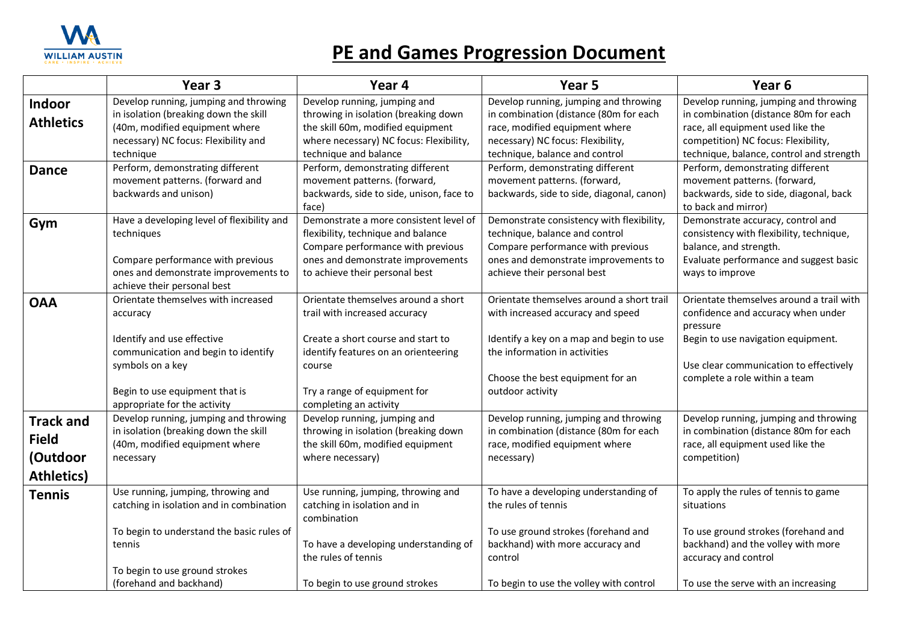

## **PE and Games Progression Document**

|                                                                   | Year <sub>3</sub>                                                                                                                                                                                          | Year 4                                                                                                                                                                                                                 | Year <sub>5</sub>                                                                                                                                                                                                   | Year 6                                                                                                                                                                                                      |
|-------------------------------------------------------------------|------------------------------------------------------------------------------------------------------------------------------------------------------------------------------------------------------------|------------------------------------------------------------------------------------------------------------------------------------------------------------------------------------------------------------------------|---------------------------------------------------------------------------------------------------------------------------------------------------------------------------------------------------------------------|-------------------------------------------------------------------------------------------------------------------------------------------------------------------------------------------------------------|
| Indoor<br><b>Athletics</b>                                        | Develop running, jumping and throwing<br>in isolation (breaking down the skill<br>(40m, modified equipment where<br>necessary) NC focus: Flexibility and                                                   | Develop running, jumping and<br>throwing in isolation (breaking down<br>the skill 60m, modified equipment<br>where necessary) NC focus: Flexibility,                                                                   | Develop running, jumping and throwing<br>in combination (distance (80m for each<br>race, modified equipment where<br>necessary) NC focus: Flexibility,                                                              | Develop running, jumping and throwing<br>in combination (distance 80m for each<br>race, all equipment used like the<br>competition) NC focus: Flexibility,                                                  |
|                                                                   | technique                                                                                                                                                                                                  | technique and balance                                                                                                                                                                                                  | technique, balance and control                                                                                                                                                                                      | technique, balance, control and strength                                                                                                                                                                    |
| <b>Dance</b>                                                      | Perform, demonstrating different<br>movement patterns. (forward and<br>backwards and unison)                                                                                                               | Perform, demonstrating different<br>movement patterns. (forward,<br>backwards, side to side, unison, face to<br>face)                                                                                                  | Perform, demonstrating different<br>movement patterns. (forward,<br>backwards, side to side, diagonal, canon)                                                                                                       | Perform, demonstrating different<br>movement patterns. (forward,<br>backwards, side to side, diagonal, back<br>to back and mirror)                                                                          |
| Gym                                                               | Have a developing level of flexibility and<br>techniques<br>Compare performance with previous<br>ones and demonstrate improvements to<br>achieve their personal best                                       | Demonstrate a more consistent level of<br>flexibility, technique and balance<br>Compare performance with previous<br>ones and demonstrate improvements<br>to achieve their personal best                               | Demonstrate consistency with flexibility,<br>technique, balance and control<br>Compare performance with previous<br>ones and demonstrate improvements to<br>achieve their personal best                             | Demonstrate accuracy, control and<br>consistency with flexibility, technique,<br>balance, and strength.<br>Evaluate performance and suggest basic<br>ways to improve                                        |
| <b>OAA</b>                                                        | Orientate themselves with increased<br>accuracy<br>Identify and use effective<br>communication and begin to identify<br>symbols on a key<br>Begin to use equipment that is<br>appropriate for the activity | Orientate themselves around a short<br>trail with increased accuracy<br>Create a short course and start to<br>identify features on an orienteering<br>course<br>Try a range of equipment for<br>completing an activity | Orientate themselves around a short trail<br>with increased accuracy and speed<br>Identify a key on a map and begin to use<br>the information in activities<br>Choose the best equipment for an<br>outdoor activity | Orientate themselves around a trail with<br>confidence and accuracy when under<br>pressure<br>Begin to use navigation equipment.<br>Use clear communication to effectively<br>complete a role within a team |
| <b>Track and</b><br><b>Field</b><br>(Outdoor<br><b>Athletics)</b> | Develop running, jumping and throwing<br>in isolation (breaking down the skill<br>(40m, modified equipment where<br>necessary                                                                              | Develop running, jumping and<br>throwing in isolation (breaking down<br>the skill 60m, modified equipment<br>where necessary)                                                                                          | Develop running, jumping and throwing<br>in combination (distance (80m for each<br>race, modified equipment where<br>necessary)                                                                                     | Develop running, jumping and throwing<br>in combination (distance 80m for each<br>race, all equipment used like the<br>competition)                                                                         |
| <b>Tennis</b>                                                     | Use running, jumping, throwing and<br>catching in isolation and in combination<br>To begin to understand the basic rules of<br>tennis                                                                      | Use running, jumping, throwing and<br>catching in isolation and in<br>combination<br>To have a developing understanding of<br>the rules of tennis                                                                      | To have a developing understanding of<br>the rules of tennis<br>To use ground strokes (forehand and<br>backhand) with more accuracy and<br>control                                                                  | To apply the rules of tennis to game<br>situations<br>To use ground strokes (forehand and<br>backhand) and the volley with more<br>accuracy and control                                                     |
|                                                                   | To begin to use ground strokes<br>(forehand and backhand)                                                                                                                                                  | To begin to use ground strokes                                                                                                                                                                                         | To begin to use the volley with control                                                                                                                                                                             | To use the serve with an increasing                                                                                                                                                                         |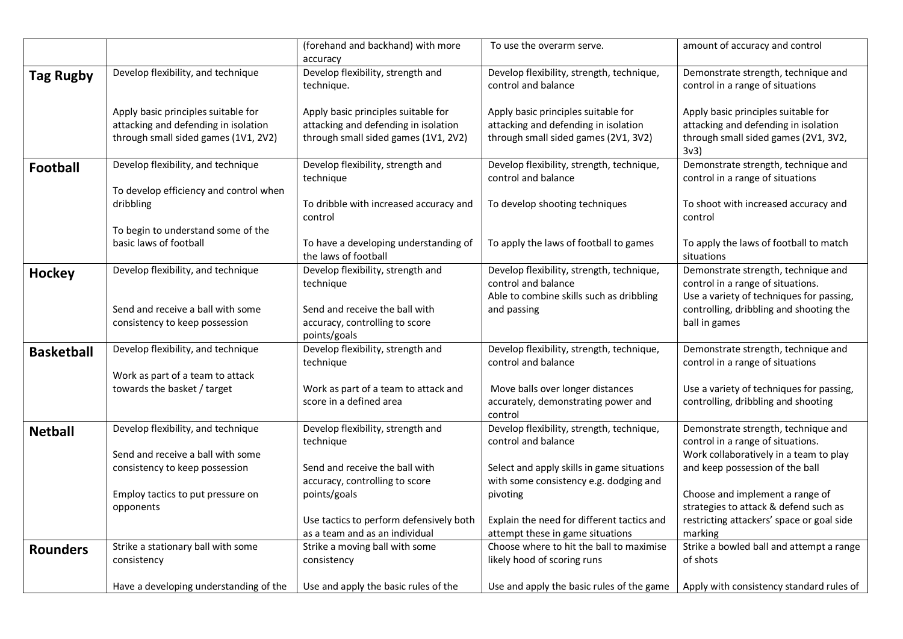|                   |                                                                                                                     | (forehand and backhand) with more                                                                                   | To use the overarm serve.                                                                                           | amount of accuracy and control                                                                                              |
|-------------------|---------------------------------------------------------------------------------------------------------------------|---------------------------------------------------------------------------------------------------------------------|---------------------------------------------------------------------------------------------------------------------|-----------------------------------------------------------------------------------------------------------------------------|
|                   |                                                                                                                     | accuracy                                                                                                            |                                                                                                                     |                                                                                                                             |
| <b>Tag Rugby</b>  | Develop flexibility, and technique                                                                                  | Develop flexibility, strength and<br>technique.                                                                     | Develop flexibility, strength, technique,<br>control and balance                                                    | Demonstrate strength, technique and<br>control in a range of situations                                                     |
|                   | Apply basic principles suitable for<br>attacking and defending in isolation<br>through small sided games (1V1, 2V2) | Apply basic principles suitable for<br>attacking and defending in isolation<br>through small sided games (1V1, 2V2) | Apply basic principles suitable for<br>attacking and defending in isolation<br>through small sided games (2V1, 3V2) | Apply basic principles suitable for<br>attacking and defending in isolation<br>through small sided games (2V1, 3V2,<br>3v3) |
| <b>Football</b>   | Develop flexibility, and technique                                                                                  | Develop flexibility, strength and<br>technique                                                                      | Develop flexibility, strength, technique,<br>control and balance                                                    | Demonstrate strength, technique and<br>control in a range of situations                                                     |
|                   | To develop efficiency and control when<br>dribbling                                                                 | To dribble with increased accuracy and<br>control                                                                   | To develop shooting techniques                                                                                      | To shoot with increased accuracy and<br>control                                                                             |
|                   | To begin to understand some of the<br>basic laws of football                                                        | To have a developing understanding of<br>the laws of football                                                       | To apply the laws of football to games                                                                              | To apply the laws of football to match<br>situations                                                                        |
| <b>Hockey</b>     | Develop flexibility, and technique                                                                                  | Develop flexibility, strength and<br>technique                                                                      | Develop flexibility, strength, technique,<br>control and balance<br>Able to combine skills such as dribbling        | Demonstrate strength, technique and<br>control in a range of situations.<br>Use a variety of techniques for passing,        |
|                   | Send and receive a ball with some<br>consistency to keep possession                                                 | Send and receive the ball with<br>accuracy, controlling to score<br>points/goals                                    | and passing                                                                                                         | controlling, dribbling and shooting the<br>ball in games                                                                    |
| <b>Basketball</b> | Develop flexibility, and technique                                                                                  | Develop flexibility, strength and<br>technique                                                                      | Develop flexibility, strength, technique,<br>control and balance                                                    | Demonstrate strength, technique and<br>control in a range of situations                                                     |
|                   | Work as part of a team to attack<br>towards the basket / target                                                     | Work as part of a team to attack and<br>score in a defined area                                                     | Move balls over longer distances<br>accurately, demonstrating power and<br>control                                  | Use a variety of techniques for passing,<br>controlling, dribbling and shooting                                             |
| <b>Netball</b>    | Develop flexibility, and technique                                                                                  | Develop flexibility, strength and<br>technique                                                                      | Develop flexibility, strength, technique,<br>control and balance                                                    | Demonstrate strength, technique and<br>control in a range of situations.                                                    |
|                   | Send and receive a ball with some<br>consistency to keep possession                                                 | Send and receive the ball with<br>accuracy, controlling to score                                                    | Select and apply skills in game situations<br>with some consistency e.g. dodging and                                | Work collaboratively in a team to play<br>and keep possession of the ball                                                   |
|                   | Employ tactics to put pressure on<br>opponents                                                                      | points/goals                                                                                                        | pivoting                                                                                                            | Choose and implement a range of<br>strategies to attack & defend such as                                                    |
|                   |                                                                                                                     | Use tactics to perform defensively both<br>as a team and as an individual                                           | Explain the need for different tactics and<br>attempt these in game situations                                      | restricting attackers' space or goal side<br>marking                                                                        |
| <b>Rounders</b>   | Strike a stationary ball with some                                                                                  | Strike a moving ball with some                                                                                      | Choose where to hit the ball to maximise                                                                            | Strike a bowled ball and attempt a range                                                                                    |
|                   | consistency                                                                                                         | consistency                                                                                                         | likely hood of scoring runs                                                                                         | of shots                                                                                                                    |
|                   | Have a developing understanding of the                                                                              | Use and apply the basic rules of the                                                                                | Use and apply the basic rules of the game                                                                           | Apply with consistency standard rules of                                                                                    |